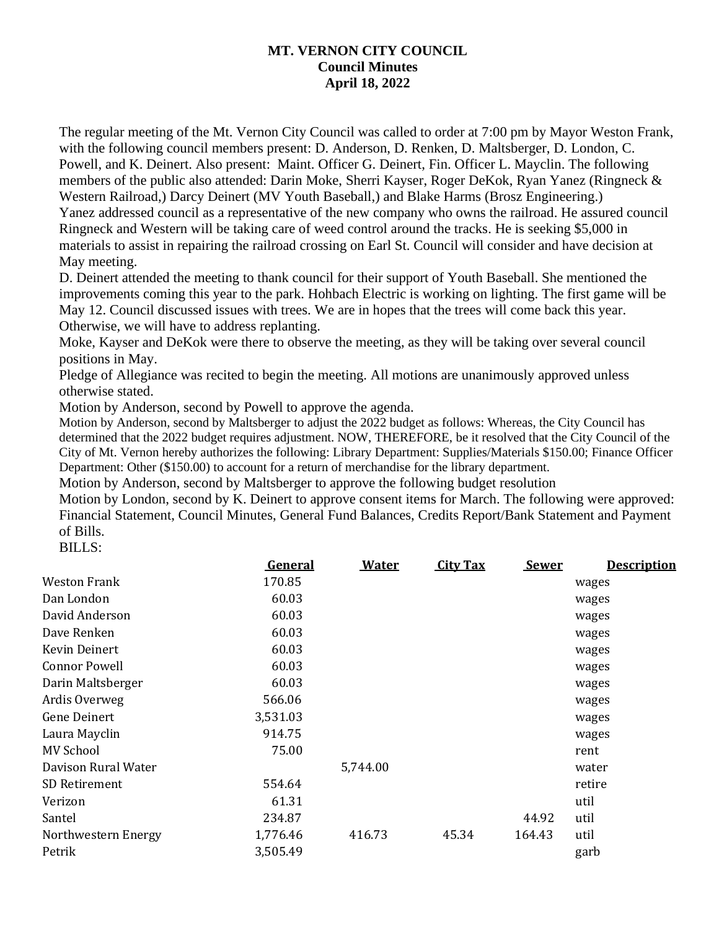## **MT. VERNON CITY COUNCIL Council Minutes April 18, 2022**

The regular meeting of the Mt. Vernon City Council was called to order at 7:00 pm by Mayor Weston Frank, with the following council members present: D. Anderson, D. Renken, D. Maltsberger, D. London, C. Powell, and K. Deinert. Also present: Maint. Officer G. Deinert, Fin. Officer L. Mayclin. The following members of the public also attended: Darin Moke, Sherri Kayser, Roger DeKok, Ryan Yanez (Ringneck & Western Railroad,) Darcy Deinert (MV Youth Baseball,) and Blake Harms (Brosz Engineering.) Yanez addressed council as a representative of the new company who owns the railroad. He assured council Ringneck and Western will be taking care of weed control around the tracks. He is seeking \$5,000 in materials to assist in repairing the railroad crossing on Earl St. Council will consider and have decision at May meeting.

D. Deinert attended the meeting to thank council for their support of Youth Baseball. She mentioned the improvements coming this year to the park. Hohbach Electric is working on lighting. The first game will be May 12. Council discussed issues with trees. We are in hopes that the trees will come back this year. Otherwise, we will have to address replanting.

Moke, Kayser and DeKok were there to observe the meeting, as they will be taking over several council positions in May.

Pledge of Allegiance was recited to begin the meeting. All motions are unanimously approved unless otherwise stated.

Motion by Anderson, second by Powell to approve the agenda.

Motion by Anderson, second by Maltsberger to adjust the 2022 budget as follows: Whereas, the City Council has determined that the 2022 budget requires adjustment. NOW, THEREFORE, be it resolved that the City Council of the City of Mt. Vernon hereby authorizes the following: Library Department: Supplies/Materials \$150.00; Finance Officer Department: Other (\$150.00) to account for a return of merchandise for the library department.

Motion by Anderson, second by Maltsberger to approve the following budget resolution

Motion by London, second by K. Deinert to approve consent items for March. The following were approved: Financial Statement, Council Minutes, General Fund Balances, Credits Report/Bank Statement and Payment of Bills.

BILLS:

|                      | <b>General</b> | <b>Water</b> | <b>City Tax</b> | <b>Sewer</b> | <b>Description</b> |  |
|----------------------|----------------|--------------|-----------------|--------------|--------------------|--|
| <b>Weston Frank</b>  | 170.85         |              |                 |              | wages              |  |
| Dan London           | 60.03          |              |                 |              | wages              |  |
| David Anderson       | 60.03          |              |                 |              | wages              |  |
| Dave Renken          | 60.03          |              |                 |              | wages              |  |
| Kevin Deinert        | 60.03          |              |                 |              | wages              |  |
| <b>Connor Powell</b> | 60.03          |              |                 |              | wages              |  |
| Darin Maltsberger    | 60.03          |              |                 |              | wages              |  |
| Ardis Overweg        | 566.06         |              |                 |              | wages              |  |
| Gene Deinert         | 3,531.03       |              |                 |              | wages              |  |
| Laura Mayclin        | 914.75         |              |                 |              | wages              |  |
| <b>MV School</b>     | 75.00          |              |                 |              | rent               |  |
| Davison Rural Water  |                | 5,744.00     |                 |              | water              |  |
| SD Retirement        | 554.64         |              |                 |              | retire             |  |
| Verizon              | 61.31          |              |                 |              | util               |  |
| Santel               | 234.87         |              |                 | 44.92        | util               |  |
| Northwestern Energy  | 1,776.46       | 416.73       | 45.34           | 164.43       | util               |  |
| Petrik               | 3,505.49       |              |                 |              | garb               |  |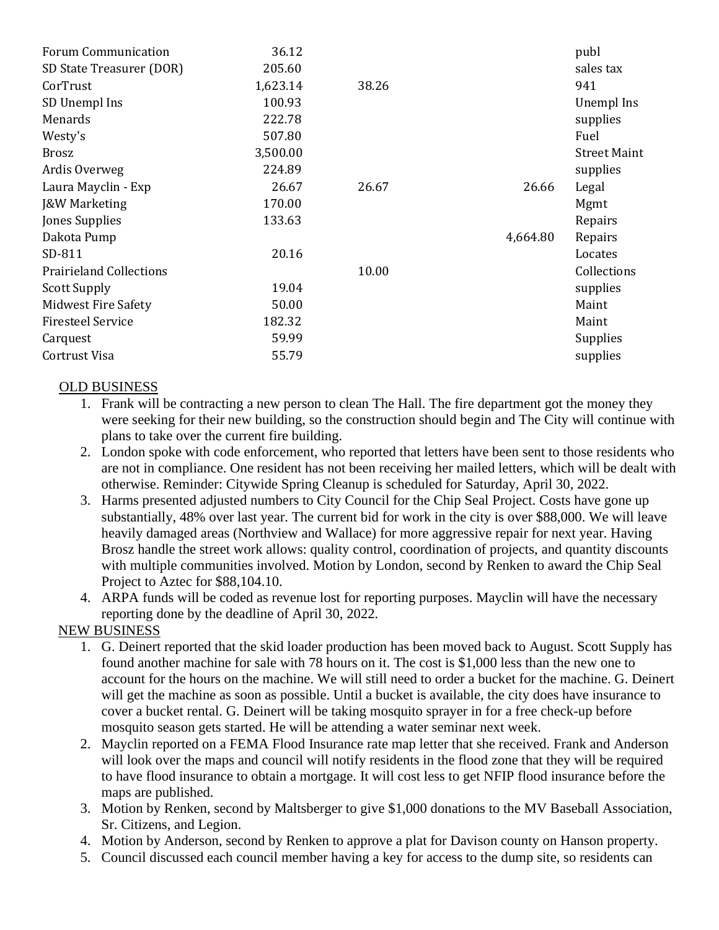| <b>Forum Communication</b>     | 36.12    |       |          | publ                |
|--------------------------------|----------|-------|----------|---------------------|
| SD State Treasurer (DOR)       | 205.60   |       |          | sales tax           |
| CorTrust                       | 1,623.14 | 38.26 |          | 941                 |
| SD Unempl Ins                  | 100.93   |       |          | Unempl Ins          |
| Menards                        | 222.78   |       |          | supplies            |
| Westy's                        | 507.80   |       |          | Fuel                |
| <b>Brosz</b>                   | 3,500.00 |       |          | <b>Street Maint</b> |
| Ardis Overweg                  | 224.89   |       |          | supplies            |
| Laura Mayclin - Exp            | 26.67    | 26.67 | 26.66    | Legal               |
| <b>J&amp;W Marketing</b>       | 170.00   |       |          | Mgmt                |
| Jones Supplies                 | 133.63   |       |          | Repairs             |
| Dakota Pump                    |          |       | 4,664.80 | Repairs             |
| SD-811                         | 20.16    |       |          | Locates             |
| <b>Prairieland Collections</b> |          | 10.00 |          | Collections         |
| <b>Scott Supply</b>            | 19.04    |       |          | supplies            |
| <b>Midwest Fire Safety</b>     | 50.00    |       |          | Maint               |
| <b>Firesteel Service</b>       | 182.32   |       |          | Maint               |
| Carquest                       | 59.99    |       |          | Supplies            |
| Cortrust Visa                  | 55.79    |       |          | supplies            |

## OLD BUSINESS

- 1. Frank will be contracting a new person to clean The Hall. The fire department got the money they were seeking for their new building, so the construction should begin and The City will continue with plans to take over the current fire building.
- 2. London spoke with code enforcement, who reported that letters have been sent to those residents who are not in compliance. One resident has not been receiving her mailed letters, which will be dealt with otherwise. Reminder: Citywide Spring Cleanup is scheduled for Saturday, April 30, 2022.
- 3. Harms presented adjusted numbers to City Council for the Chip Seal Project. Costs have gone up substantially, 48% over last year. The current bid for work in the city is over \$88,000. We will leave heavily damaged areas (Northview and Wallace) for more aggressive repair for next year. Having Brosz handle the street work allows: quality control, coordination of projects, and quantity discounts with multiple communities involved. Motion by London, second by Renken to award the Chip Seal Project to Aztec for \$88,104.10.
- 4. ARPA funds will be coded as revenue lost for reporting purposes. Mayclin will have the necessary reporting done by the deadline of April 30, 2022.

## NEW BUSINESS

- 1. G. Deinert reported that the skid loader production has been moved back to August. Scott Supply has found another machine for sale with 78 hours on it. The cost is \$1,000 less than the new one to account for the hours on the machine. We will still need to order a bucket for the machine. G. Deinert will get the machine as soon as possible. Until a bucket is available, the city does have insurance to cover a bucket rental. G. Deinert will be taking mosquito sprayer in for a free check-up before mosquito season gets started. He will be attending a water seminar next week.
- 2. Mayclin reported on a FEMA Flood Insurance rate map letter that she received. Frank and Anderson will look over the maps and council will notify residents in the flood zone that they will be required to have flood insurance to obtain a mortgage. It will cost less to get NFIP flood insurance before the maps are published.
- 3. Motion by Renken, second by Maltsberger to give \$1,000 donations to the MV Baseball Association, Sr. Citizens, and Legion.
- 4. Motion by Anderson, second by Renken to approve a plat for Davison county on Hanson property.
- 5. Council discussed each council member having a key for access to the dump site, so residents can